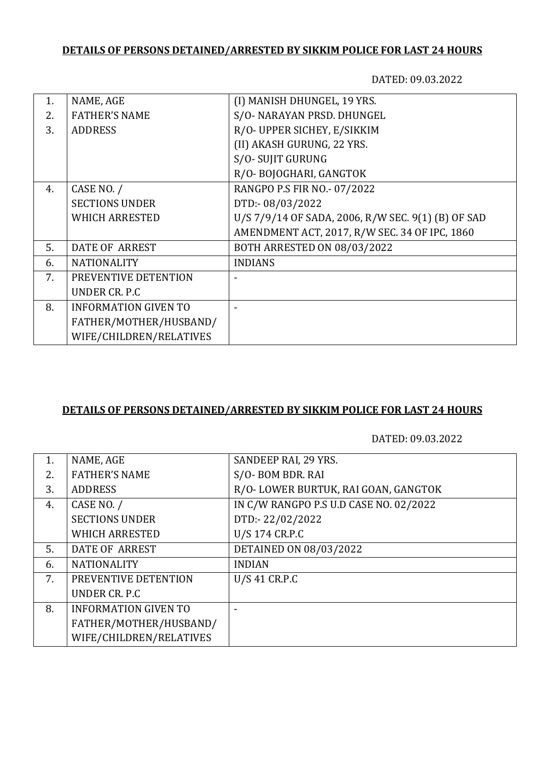# **DETAILS OF PERSONS DETAINED/ARRESTED BY SIKKIM POLICE FOR LAST 24 HOURS**

DATED: 09.03.2022

| 1.  | NAME, AGE                   | (I) MANISH DHUNGEL, 19 YRS.                        |
|-----|-----------------------------|----------------------------------------------------|
| 2.5 | <b>FATHER'S NAME</b>        | S/O- NARAYAN PRSD. DHUNGEL                         |
| 3.  | <b>ADDRESS</b>              | R/O- UPPER SICHEY, E/SIKKIM                        |
|     |                             | (II) AKASH GURUNG, 22 YRS.                         |
|     |                             | S/O-SUJIT GURUNG                                   |
|     |                             | R/O-BOJOGHARI, GANGTOK                             |
| 4.  | CASE NO. /                  | RANGPO P.S FIR NO.- 07/2022                        |
|     | <b>SECTIONS UNDER</b>       | DTD:-08/03/2022                                    |
|     | <b>WHICH ARRESTED</b>       | U/S 7/9/14 OF SADA, 2006, R/W SEC. 9(1) (B) OF SAD |
|     |                             | AMENDMENT ACT, 2017, R/W SEC. 34 OF IPC, 1860      |
| 5.  | <b>DATE OF ARREST</b>       | BOTH ARRESTED ON 08/03/2022                        |
| 6.  | <b>NATIONALITY</b>          | <b>INDIANS</b>                                     |
| 7.  | PREVENTIVE DETENTION        |                                                    |
|     | UNDER CR. P.C.              |                                                    |
| 8.  | <b>INFORMATION GIVEN TO</b> |                                                    |
|     | FATHER/MOTHER/HUSBAND/      |                                                    |
|     | WIFE/CHILDREN/RELATIVES     |                                                    |

#### **DETAILS OF PERSONS DETAINED/ARRESTED BY SIKKIM POLICE FOR LAST 24 HOURS**

DATED: 09.03.2022

| R/O-LOWER BURTUK, RAI GOAN, GANGTOK    |
|----------------------------------------|
| IN C/W RANGPO P.S U.D CASE NO. 02/2022 |
|                                        |
|                                        |
|                                        |
|                                        |
|                                        |
|                                        |
|                                        |
|                                        |
|                                        |
|                                        |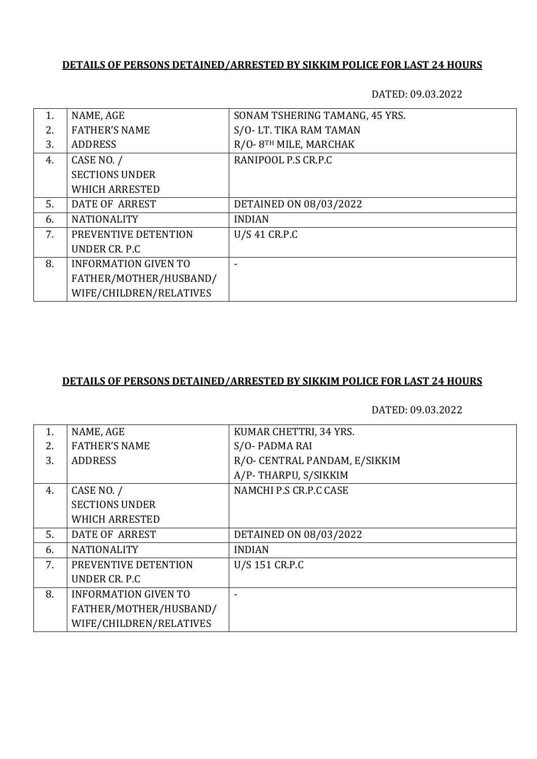### **DETAILS OF PERSONS DETAINED/ARRESTED BY SIKKIM POLICE FOR LAST 24 HOURS**

DATED: 09.03.2022

| 1. | NAME, AGE                   | SONAM TSHERING TAMANG, 45 YRS. |
|----|-----------------------------|--------------------------------|
| 2. | <b>FATHER'S NAME</b>        | S/O-LT. TIKA RAM TAMAN         |
| 3. | <b>ADDRESS</b>              | R/O-8TH MILE, MARCHAK          |
| 4. | CASE NO. /                  | RANIPOOL P.S CR.P.C            |
|    | <b>SECTIONS UNDER</b>       |                                |
|    | <b>WHICH ARRESTED</b>       |                                |
| 5. | DATE OF ARREST              | DETAINED ON 08/03/2022         |
| 6. | <b>NATIONALITY</b>          | <b>INDIAN</b>                  |
| 7. | PREVENTIVE DETENTION        | U/S 41 CR.P.C                  |
|    | UNDER CR. P.C.              |                                |
| 8. | <b>INFORMATION GIVEN TO</b> |                                |
|    | FATHER/MOTHER/HUSBAND/      |                                |
|    | WIFE/CHILDREN/RELATIVES     |                                |

#### **DETAILS OF PERSONS DETAINED/ARRESTED BY SIKKIM POLICE FOR LAST 24 HOURS**

DATED: 09.03.2022

| 1. | NAME, AGE                   | KUMAR CHETTRI, 34 YRS.        |
|----|-----------------------------|-------------------------------|
| 2. | <b>FATHER'S NAME</b>        | S/O-PADMA RAI                 |
| 3. | <b>ADDRESS</b>              | R/O- CENTRAL PANDAM, E/SIKKIM |
|    |                             | A/P-THARPU, S/SIKKIM          |
| 4. | CASE NO. /                  | NAMCHI P.S CR.P.C CASE        |
|    | <b>SECTIONS UNDER</b>       |                               |
|    | <b>WHICH ARRESTED</b>       |                               |
| 5. | <b>DATE OF ARREST</b>       | DETAINED ON 08/03/2022        |
| 6. | <b>NATIONALITY</b>          | <b>INDIAN</b>                 |
| 7. | PREVENTIVE DETENTION        | U/S 151 CR.P.C                |
|    | UNDER CR. P.C.              |                               |
| 8. | <b>INFORMATION GIVEN TO</b> |                               |
|    | FATHER/MOTHER/HUSBAND/      |                               |
|    | WIFE/CHILDREN/RELATIVES     |                               |